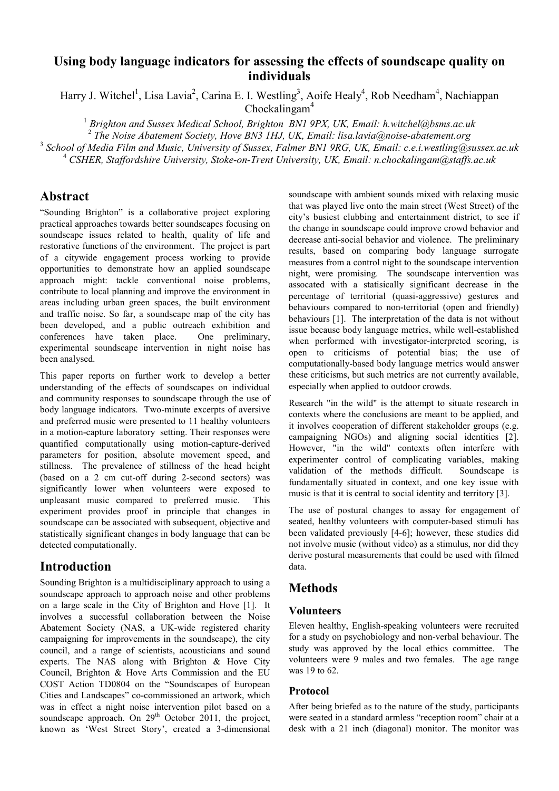# **Using body language indicators for assessing the effects of soundscape quality on individuals**

Harry J. Witchel<sup>1</sup>, Lisa Lavia<sup>2</sup>, Carina E. I. Westling<sup>3</sup>, Aoife Healy<sup>4</sup>, Rob Needham<sup>4</sup>, Nachiappan Chockalingam<sup>4</sup>

<sup>1</sup> Brighton and Sussex Medical School, Brighton BN1 9PX, UK, Email: h.witchel@bsms.ac.uk

2  *The Noise Abatement Society, Hove BN3 1HJ, UK, Email: lisa.lavia@noise-abatement.org* 

3  *School of Media Film and Music, University of Sussex, Falmer BN1 9RG, UK, Email: c.e.i.westling@sussex.ac.uk* 

<sup>4</sup> CSHER, Staffordshire University, Stoke-on-Trent University, UK, Email: n.chockalingam@staffs.ac.uk

# **Abstract**

"Sounding Brighton" is a collaborative project exploring practical approaches towards better soundscapes focusing on soundscape issues related to health, quality of life and restorative functions of the environment. The project is part of a citywide engagement process working to provide opportunities to demonstrate how an applied soundscape approach might: tackle conventional noise problems, contribute to local planning and improve the environment in areas including urban green spaces, the built environment and traffic noise. So far, a soundscape map of the city has been developed, and a public outreach exhibition and conferences have taken place. One preliminary, experimental soundscape intervention in night noise has been analysed.

This paper reports on further work to develop a better understanding of the effects of soundscapes on individual and community responses to soundscape through the use of body language indicators. Two-minute excerpts of aversive and preferred music were presented to 11 healthy volunteers in a motion-capture laboratory setting. Their responses were quantified computationally using motion-capture-derived parameters for position, absolute movement speed, and stillness. The prevalence of stillness of the head height (based on a 2 cm cut-off during 2-second sectors) was significantly lower when volunteers were exposed to unpleasant music compared to preferred music. This experiment provides proof in principle that changes in soundscape can be associated with subsequent, objective and statistically significant changes in body language that can be detected computationally.

# **Introduction**

Sounding Brighton is a multidisciplinary approach to using a soundscape approach to approach noise and other problems on a large scale in the City of Brighton and Hove [1]. It involves a successful collaboration between the Noise Abatement Society (NAS, a UK-wide registered charity campaigning for improvements in the soundscape), the city council, and a range of scientists, acousticians and sound experts. The NAS along with Brighton & Hove City Council, Brighton & Hove Arts Commission and the EU COST Action TD0804 on the "Soundscapes of European Cities and Landscapes" co-commissioned an artwork, which was in effect a night noise intervention pilot based on a soundscape approach. On  $29<sup>th</sup>$  October 2011, the project, known as 'West Street Story', created a 3-dimensional soundscape with ambient sounds mixed with relaxing music that was played live onto the main street (West Street) of the city's busiest clubbing and entertainment district, to see if the change in soundscape could improve crowd behavior and decrease anti-social behavior and violence. The preliminary results, based on comparing body language surrogate measures from a control night to the soundscape intervention night, were promising. The soundscape intervention was assocated with a statisically significant decrease in the percentage of territorial (quasi-aggressive) gestures and behaviours compared to non-territorial (open and friendly) behaviours [1]. The interpretation of the data is not without issue because body language metrics, while well-established when performed with investigator-interpreted scoring, is open to criticisms of potential bias; the use of computationally-based body language metrics would answer these criticisms, but such metrics are not currently available, especially when applied to outdoor crowds.

Research "in the wild" is the attempt to situate research in contexts where the conclusions are meant to be applied, and it involves cooperation of different stakeholder groups (e.g. campaigning NGOs) and aligning social identities [2]. However, "in the wild" contexts often interfere with experimenter control of complicating variables, making validation of the methods difficult. Soundscape is fundamentally situated in context, and one key issue with music is that it is central to social identity and territory [3].

The use of postural changes to assay for engagement of seated, healthy volunteers with computer-based stimuli has been validated previously [4-6]; however, these studies did not involve music (without video) as a stimulus, nor did they derive postural measurements that could be used with filmed data.

# **Methods**

### **Volunteers**

Eleven healthy, English-speaking volunteers were recruited for a study on psychobiology and non-verbal behaviour. The study was approved by the local ethics committee. The volunteers were 9 males and two females. The age range was 19 to 62.

# **Protocol**

After being briefed as to the nature of the study, participants were seated in a standard armless "reception room" chair at a desk with a 21 inch (diagonal) monitor. The monitor was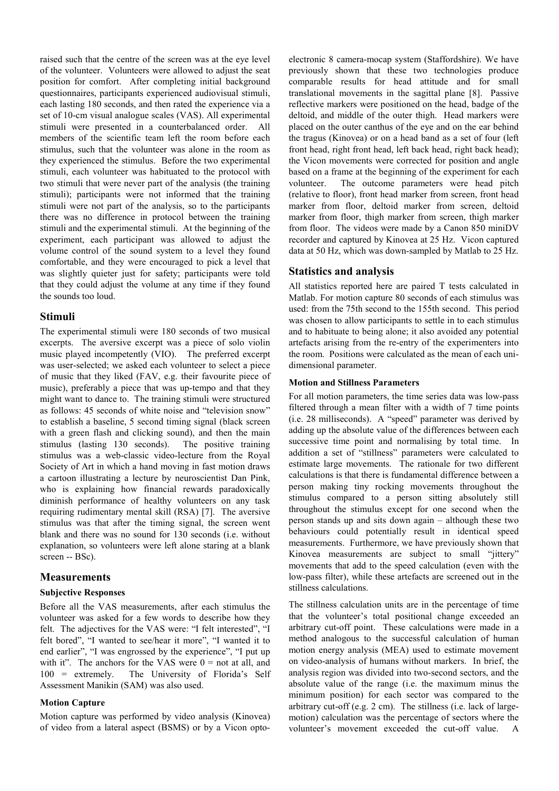raised such that the centre of the screen was at the eye level of the volunteer. Volunteers were allowed to adjust the seat position for comfort. After completing initial background questionnaires, participants experienced audiovisual stimuli, each lasting 180 seconds, and then rated the experience via a set of 10-cm visual analogue scales (VAS). All experimental stimuli were presented in a counterbalanced order. All members of the scientific team left the room before each stimulus, such that the volunteer was alone in the room as they experienced the stimulus. Before the two experimental stimuli, each volunteer was habituated to the protocol with two stimuli that were never part of the analysis (the training stimuli); participants were not informed that the training stimuli were not part of the analysis, so to the participants there was no difference in protocol between the training stimuli and the experimental stimuli. At the beginning of the experiment, each participant was allowed to adjust the volume control of the sound system to a level they found comfortable, and they were encouraged to pick a level that was slightly quieter just for safety; participants were told that they could adjust the volume at any time if they found the sounds too loud.

### **Stimuli**

The experimental stimuli were 180 seconds of two musical excerpts. The aversive excerpt was a piece of solo violin music played incompetently (VIO). The preferred excerpt was user-selected; we asked each volunteer to select a piece of music that they liked (FAV, e.g. their favourite piece of music), preferably a piece that was up-tempo and that they might want to dance to. The training stimuli were structured as follows: 45 seconds of white noise and "television snow" to establish a baseline, 5 second timing signal (black screen with a green flash and clicking sound), and then the main stimulus (lasting 130 seconds). The positive training stimulus was a web-classic video-lecture from the Royal Society of Art in which a hand moving in fast motion draws a cartoon illustrating a lecture by neuroscientist Dan Pink, who is explaining how financial rewards paradoxically diminish performance of healthy volunteers on any task requiring rudimentary mental skill (RSA) [7]. The aversive stimulus was that after the timing signal, the screen went blank and there was no sound for 130 seconds (i.e. without explanation, so volunteers were left alone staring at a blank screen -- BSc).

### **Measurements**

#### **Subjective Responses**

Before all the VAS measurements, after each stimulus the volunteer was asked for a few words to describe how they felt. The adjectives for the VAS were: "I felt interested", "I felt bored", "I wanted to see/hear it more", "I wanted it to end earlier", "I was engrossed by the experience", "I put up with it". The anchors for the VAS were  $0 =$  not at all, and 100 = extremely. The University of Florida's Self Assessment Manikin (SAM) was also used.

#### **Motion Capture**

Motion capture was performed by video analysis (Kinovea) of video from a lateral aspect (BSMS) or by a Vicon optoelectronic 8 camera-mocap system (Staffordshire). We have previously shown that these two technologies produce comparable results for head attitude and for small translational movements in the sagittal plane [8]. Passive reflective markers were positioned on the head, badge of the deltoid, and middle of the outer thigh. Head markers were placed on the outer canthus of the eye and on the ear behind the tragus (Kinovea) or on a head band as a set of four (left front head, right front head, left back head, right back head); the Vicon movements were corrected for position and angle based on a frame at the beginning of the experiment for each volunteer. The outcome parameters were head pitch (relative to floor), front head marker from screen, front head marker from floor, deltoid marker from screen, deltoid marker from floor, thigh marker from screen, thigh marker from floor. The videos were made by a Canon 850 miniDV recorder and captured by Kinovea at 25 Hz. Vicon captured data at 50 Hz, which was down-sampled by Matlab to 25 Hz.

### **Statistics and analysis**

All statistics reported here are paired T tests calculated in Matlab. For motion capture 80 seconds of each stimulus was used: from the 75th second to the 155th second. This period was chosen to allow participants to settle in to each stimulus and to habituate to being alone; it also avoided any potential artefacts arising from the re-entry of the experimenters into the room. Positions were calculated as the mean of each unidimensional parameter.

#### **Motion and Stillness Parameters**

For all motion parameters, the time series data was low-pass filtered through a mean filter with a width of 7 time points (i.e. 28 milliseconds). A "speed" parameter was derived by adding up the absolute value of the differences between each successive time point and normalising by total time. In addition a set of "stillness" parameters were calculated to estimate large movements. The rationale for two different calculations is that there is fundamental difference between a person making tiny rocking movements throughout the stimulus compared to a person sitting absolutely still throughout the stimulus except for one second when the person stands up and sits down again – although these two behaviours could potentially result in identical speed measurements. Furthermore, we have previously shown that Kinovea measurements are subject to small "jittery" movements that add to the speed calculation (even with the low-pass filter), while these artefacts are screened out in the stillness calculations.

The stillness calculation units are in the percentage of time that the volunteer's total positional change exceeded an arbitrary cut-off point. These calculations were made in a method analogous to the successful calculation of human motion energy analysis (MEA) used to estimate movement on video-analysis of humans without markers. In brief, the analysis region was divided into two-second sectors, and the absolute value of the range (i.e. the maximum minus the minimum position) for each sector was compared to the arbitrary cut-off (e.g. 2 cm). The stillness (i.e. lack of largemotion) calculation was the percentage of sectors where the volunteer's movement exceeded the cut-off value. A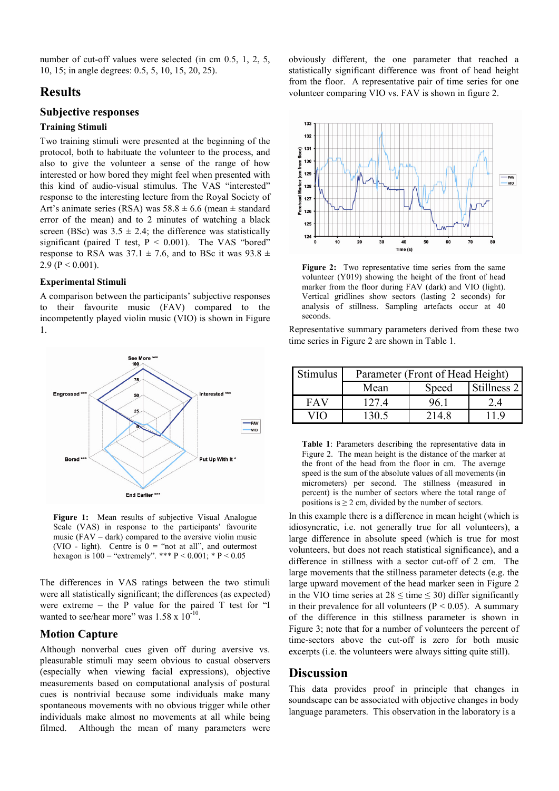number of cut-off values were selected (in cm 0.5, 1, 2, 5, 10, 15; in angle degrees: 0.5, 5, 10, 15, 20, 25).

# **Results**

### **Subjective responses**

#### **Training Stimuli**

Two training stimuli were presented at the beginning of the protocol, both to habituate the volunteer to the process, and also to give the volunteer a sense of the range of how interested or how bored they might feel when presented with this kind of audio-visual stimulus. The VAS "interested" response to the interesting lecture from the Royal Society of Art's animate series (RSA) was  $58.8 \pm 6.6$  (mean  $\pm$  standard error of the mean) and to 2 minutes of watching a black screen (BSc) was  $3.5 \pm 2.4$ ; the difference was statistically significant (paired T test,  $P < 0.001$ ). The VAS "bored" response to RSA was  $37.1 \pm 7.6$ , and to BSc it was  $93.8 \pm$ 2.9 ( $P < 0.001$ ).

#### **Experimental Stimuli**

A comparison between the participants' subjective responses to their favourite music (FAV) compared to the incompetently played violin music (VIO) is shown in Figure 1.



**Figure 1:** Mean results of subjective Visual Analogue Scale (VAS) in response to the participants' favourite music  $(FAV - dark)$  compared to the aversive violin music (VIO - light). Centre is  $0 = \text{``not at all''},$  and outermost hexagon is  $100 =$  "extremely". \*\*\* P < 0.001; \* P < 0.05

The differences in VAS ratings between the two stimuli were all statistically significant; the differences (as expected) were extreme – the P value for the paired T test for "I wanted to see/hear more" was  $1.58 \times 10^{-10}$ .

#### **Motion Capture**

Although nonverbal cues given off during aversive vs. pleasurable stimuli may seem obvious to casual observers (especially when viewing facial expressions), objective measurements based on computational analysis of postural cues is nontrivial because some individuals make many spontaneous movements with no obvious trigger while other individuals make almost no movements at all while being filmed. Although the mean of many parameters were

obviously different, the one parameter that reached a statistically significant difference was front of head height from the floor. A representative pair of time series for one volunteer comparing VIO vs. FAV is shown in figure 2.



**Figure 2:** Two representative time series from the same volunteer (Y019) showing the height of the front of head marker from the floor during FAV (dark) and VIO (light). Vertical gridlines show sectors (lasting 2 seconds) for analysis of stillness. Sampling artefacts occur at 40 seconds.

Representative summary parameters derived from these two time series in Figure 2 are shown in Table 1.

| Stimulus | Parameter (Front of Head Height) |       |             |
|----------|----------------------------------|-------|-------------|
|          | Mean                             | Speed | Stillness 2 |
| FAV      | 1274                             | 96 1  | 2.4         |
|          | 130 5                            | 214.8 |             |

**Table 1**: Parameters describing the representative data in Figure 2. The mean height is the distance of the marker at the front of the head from the floor in cm. The average speed is the sum of the absolute values of all movements (in micrometers) per second. The stillness (measured in percent) is the number of sectors where the total range of positions is  $\geq 2$  cm, divided by the number of sectors.

In this example there is a difference in mean height (which is idiosyncratic, i.e. not generally true for all volunteers), a large difference in absolute speed (which is true for most volunteers, but does not reach statistical significance), and a difference in stillness with a sector cut-off of 2 cm. The large movements that the stillness parameter detects (e.g. the large upward movement of the head marker seen in Figure 2 in the VIO time series at  $28 \leq \text{time} \leq 30$ ) differ significantly in their prevalence for all volunteers ( $P < 0.05$ ). A summary of the difference in this stillness parameter is shown in Figure 3; note that for a number of volunteers the percent of time-sectors above the cut-off is zero for both music excerpts (i.e. the volunteers were always sitting quite still).

## **Discussion**

This data provides proof in principle that changes in soundscape can be associated with objective changes in body language parameters. This observation in the laboratory is a